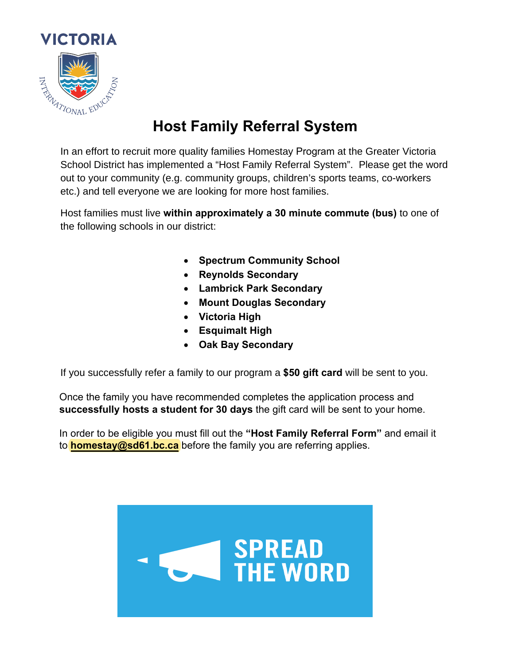

In an effort to recruit more quality families Homestay Program at the Greater Victoria School District has implemented a "Host Family Referral System". Please get the word out to your community (e.g. community groups, children's sports teams, co-workers etc.) and tell everyone we are looking for more host families.

Host families must live **EXSSEPDHO a 0 i** ute **c ute us** to one of the following schools in our district:

> $\bullet$  6SHFWUXPARPPXQLW  $\bullet$  5H $\bullet$ H $\bullet$ H $\bullet$ H $\bullet$ H $\bullet$ H $\bullet$  $\bullet$  /DPEULfUSE  $\bullet$  /DPEULfUSE  $\bullet$  $\bullet$  0RX $\bullet$  0RX $\bullet$  0RX $\bullet$  $\bullet$  $\bullet$ • 2DN%D\6HFRQGDU

If you successfully refer a family to our program a **\$50 gift card** will be sent to you.

Once the family you have recommended completes the application process and **successfully** sts a stude t f r 0 days the gift card will be sent to your home.

In order to be eligible you must fill out the "Host Family Referral Form" and email it to homestay@sd61.bc.ca before the family you are referring applies.